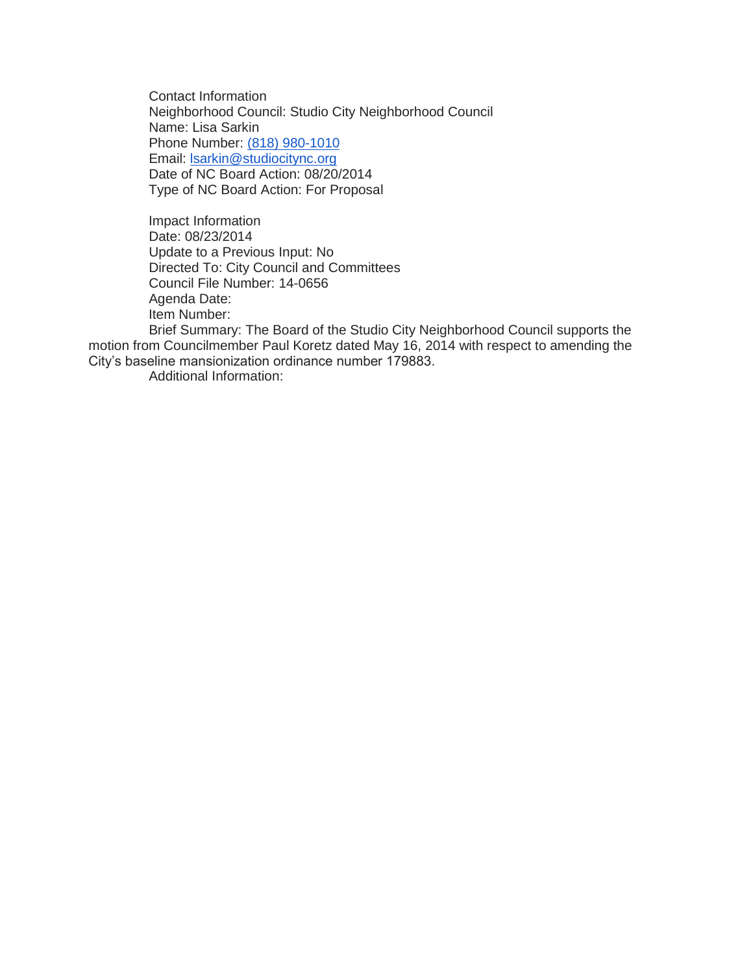Contact Information Neighborhood Council: Studio City Neighborhood Council Name: Lisa Sarkin Phone Number: [\(818\) 980-1010](tel:%28818%29%20980-1010) Email: [lsarkin@studiocitync.org](mailto:lsarkin@studiocitync.org) Date of NC Board Action: 08/20/2014 Type of NC Board Action: For Proposal

Impact Information Date: 08/23/2014 Update to a Previous Input: No Directed To: City Council and Committees Council File Number: 14-0656 Agenda Date: Item Number:

Brief Summary: The Board of the Studio City Neighborhood Council supports the motion from Councilmember Paul Koretz dated May 16, 2014 with respect to amending the City's baseline mansionization ordinance number 179883.

Additional Information: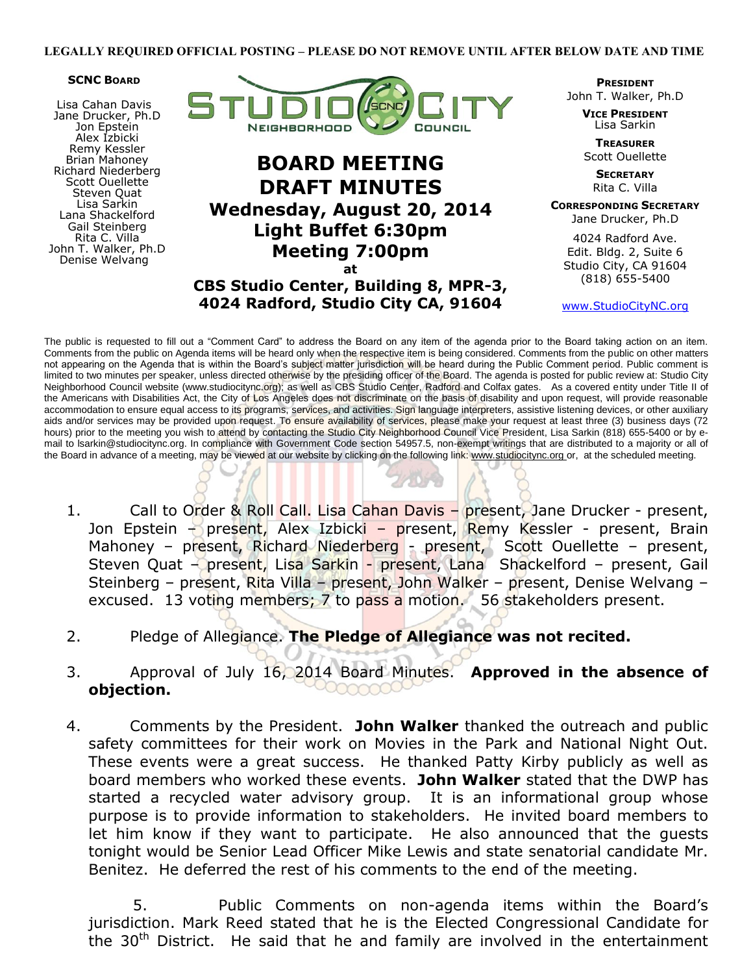#### **SCNC BOARD**

Lisa Cahan Davis Jane Drucker, Ph.D Jon Epstein Alex Izbicki Remy Kessler Brian Mahoney Richard Niederberg Scott Ouellette Steven Quat Lisa Sarkin Lana Shackelford Gail Steinberg Rita C. Villa John T. Walker, Ph.D Denise Welvang



# **BOARD MEETING DRAFT MINUTES Wednesday, August 20, 2014 Light Buffet 6:30pm Meeting 7:00pm at**

**CBS Studio Center, Building 8, MPR-3, 4024 Radford, Studio City CA, 91604**

**PRESIDENT** John T. Walker, Ph.D

> **VICE PRESIDENT** Lisa Sarkin

**TREASURER** Scott Ouellette

> **SECRETARY** Rita C. Villa

**CORRESPONDING SECRETARY** Jane Drucker, Ph.D

> 4024 Radford Ave. Edit. Bldg. 2, Suite 6

Studio City, CA 91604 (818) 655-5400

www.StudioCityNC.org

The public is requested to fill out a "Comment Card" to address the Board on any item of the agenda prior to the Board taking action on an item. Comments from the public on Agenda items will be heard only when the respective item is being considered. Comments from the public on other matters not appearing on the Agenda that is within the Board's subject matter jurisdiction will be heard during the Public Comment period. Public comment is limited to two minutes per speaker, unless directed otherwise by the presiding officer of the Board. The agenda is posted for public review at: Studio City Neighborhood Council website (www.studiocitync.org); as well as CBS Studio Center, Radford and Colfax gates. As a covered entity under Title II of the Americans with Disabilities Act, the City of Los Angeles does not discriminate on the basis of disability and upon request, will provide reasonable accommodation to ensure equal access to its programs, services, and activities. Sign language interpreters, assistive listening devices, or other auxiliary aids and/or services may be provided upon request. To ensure availability of services, please make your request at least three (3) business days (72 hours) prior to the meeting you wish to attend by contacting the Studio City Neighborhood Council Vice President, Lisa Sarkin (818) 655-5400 or by email to lsarkin@studiocitync.org. In compliance with Government Code section 54957.5, non-exempt writings that are distributed to a majority or all of the Board in advance of a meeting, may be viewed at our website by clicking on the following link: www.studiocitync.org or, at the scheduled meeting.

- 1. Call to Order & Roll Call. Lisa Cahan Davis present, Jane Drucker present, Jon Epstein – present, Alex Izbicki – present, Remy Kessler - present, Brain Mahoney – present, Richard Niederberg - present, Scott Ouellette – present, Steven Quat - present, Lisa Sarkin - present, Lana Shackelford - present, Gail Steinberg – present, Rita Villa – present, John Walker – present, Denise Welvang – excused. 13 voting members; 7 to pass a motion. 56 stakeholders present.
- 2. Pledge of Allegiance. **The Pledge of Allegiance was not recited.**
- 3. Approval of July 16, 2014 Board Minutes. **Approved in the absence of objection.**
- 4. Comments by the President. **John Walker** thanked the outreach and public safety committees for their work on Movies in the Park and National Night Out. These events were a great success. He thanked Patty Kirby publicly as well as board members who worked these events. **John Walker** stated that the DWP has started a recycled water advisory group. It is an informational group whose purpose is to provide information to stakeholders. He invited board members to let him know if they want to participate. He also announced that the guests tonight would be Senior Lead Officer Mike Lewis and state senatorial candidate Mr. Benitez. He deferred the rest of his comments to the end of the meeting.

5. Public Comments on non-agenda items within the Board's jurisdiction. Mark Reed stated that he is the Elected Congressional Candidate for the  $30<sup>th</sup>$  District. He said that he and family are involved in the entertainment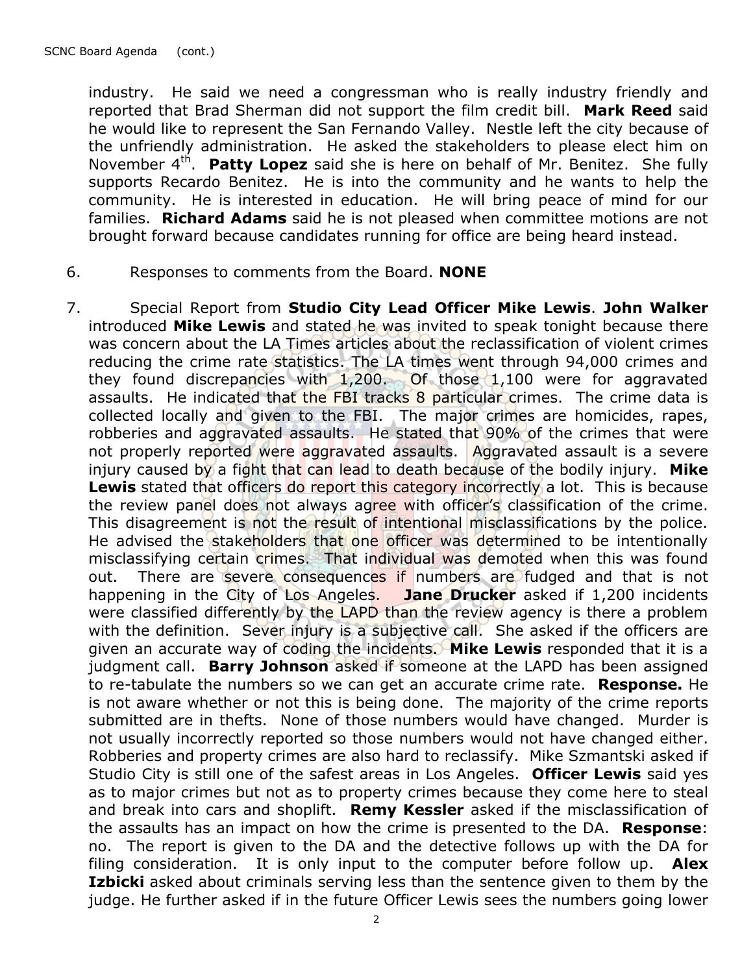industry. He said we need a congressman who is really industry friendly and reported that Brad Sherman did not support the film credit bill. **Mark Reed** said he would like to represent the San Fernando Valley. Nestle left the city because of the unfriendly administration. He asked the stakeholders to please elect him on November 4<sup>th</sup>. Patty Lopez said she is here on behalf of Mr. Benitez. She fully supports Recardo Benitez. He is into the community and he wants to help the community. He is interested in education. He will bring peace of mind for our families. **Richard Adams** said he is not pleased when committee motions are not brought forward because candidates running for office are being heard instead.

- 6. Responses to comments from the Board. **NONE**
- 7. Special Report from **Studio City Lead Officer Mike Lewis**. **John Walker**  introduced **Mike Lewis** and stated he was invited to speak tonight because there was concern about the LA Times articles about the reclassification of violent crimes reducing the crime rate statistics. The LA times went through 94,000 crimes and they found discrepancies with 1,200. Of those 1,100 were for aggravated assaults. He indicated that the FBI tracks 8 particular crimes. The crime data is collected locally and given to the FBI. The major crimes are homicides, rapes, robberies and aggravated assaults. He stated that 90% of the crimes that were not properly reported were aggravated assaults. Aggravated assault is a severe injury caused by a fight that can lead to death because of the bodily injury. **Mike**  Lewis stated that officers do report this category incorrectly a lot. This is because the review panel does not always agree with officer's classification of the crime. This disagreement is not the result of intentional misclassifications by the police. He advised the stakeholders that one officer was determined to be intentionally misclassifying certain crimes. That individual was demoted when this was found out. There are severe consequences if numbers are fudged and that is not happening in the City of Los Angeles. **Jane Drucker** asked if 1,200 incidents were classified differently by the LAPD than the review agency is there a problem with the definition. Sever injury is a subjective call. She asked if the officers are given an accurate way of coding the incidents. **Mike Lewis** responded that it is a judgment call. **Barry Johnson** asked if someone at the LAPD has been assigned to re-tabulate the numbers so we can get an accurate crime rate. **Response.** He is not aware whether or not this is being done. The majority of the crime reports submitted are in thefts. None of those numbers would have changed. Murder is not usually incorrectly reported so those numbers would not have changed either. Robberies and property crimes are also hard to reclassify. Mike Szmantski asked if Studio City is still one of the safest areas in Los Angeles. **Officer Lewis** said yes as to major crimes but not as to property crimes because they come here to steal and break into cars and shoplift. **Remy Kessler** asked if the misclassification of the assaults has an impact on how the crime is presented to the DA. **Response**: no. The report is given to the DA and the detective follows up with the DA for filing consideration. It is only input to the computer before follow up. **Alex Izbicki** asked about criminals serving less than the sentence given to them by the judge. He further asked if in the future Officer Lewis sees the numbers going lower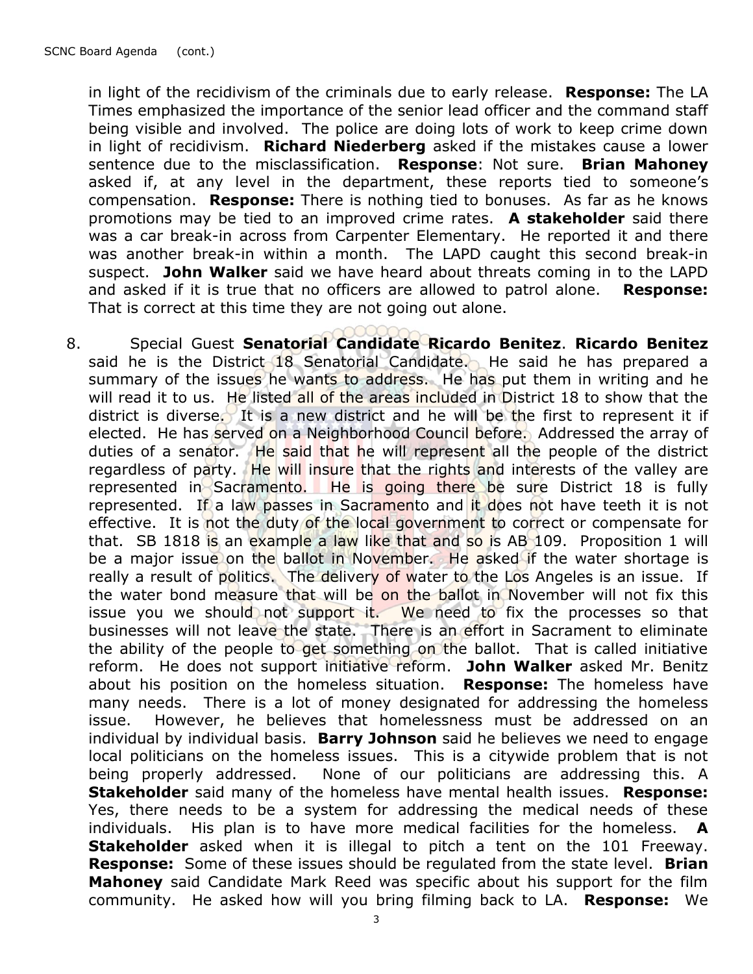in light of the recidivism of the criminals due to early release. **Response:** The LA Times emphasized the importance of the senior lead officer and the command staff being visible and involved. The police are doing lots of work to keep crime down in light of recidivism. **Richard Niederberg** asked if the mistakes cause a lower sentence due to the misclassification. **Response**: Not sure. **Brian Mahoney** asked if, at any level in the department, these reports tied to someone's compensation. **Response:** There is nothing tied to bonuses. As far as he knows promotions may be tied to an improved crime rates. **A stakeholder** said there was a car break-in across from Carpenter Elementary. He reported it and there was another break-in within a month. The LAPD caught this second break-in suspect. **John Walker** said we have heard about threats coming in to the LAPD and asked if it is true that no officers are allowed to patrol alone. **Response:** That is correct at this time they are not going out alone.

8. Special Guest **Senatorial Candidate Ricardo Benitez**. **Ricardo Benitez** said he is the District 18 Senatorial Candidate. He said he has prepared a summary of the issues he wants to address. He has put them in writing and he will read it to us. He listed all of the areas included in District 18 to show that the district is diverse. It is a new district and he will be the first to represent it if elected. He has served on a Neighborhood Council before. Addressed the array of duties of a senator. He said that he will represent all the people of the district regardless of party. He will insure that the rights and interests of the valley are represented in Sacramento. He is going there be sure District 18 is fully represented. If a law passes in Sacramento and it does not have teeth it is not effective. It is not the duty of the local government to correct or compensate for that. SB 1818 is an example a law like that and so is AB 109. Proposition 1 will be a major issue on the ballot in November. He asked if the water shortage is really a result of politics. The delivery of water to the Los Angeles is an issue. If the water bond measure that will be on the ballot in November will not fix this issue you we should not support it. We need to fix the processes so that businesses will not leave the state. There is an effort in Sacrament to eliminate the ability of the people to get something on the ballot. That is called initiative reform. He does not support initiative reform. **John Walker** asked Mr. Benitz about his position on the homeless situation. **Response:** The homeless have many needs. There is a lot of money designated for addressing the homeless issue. However, he believes that homelessness must be addressed on an individual by individual basis. **Barry Johnson** said he believes we need to engage local politicians on the homeless issues. This is a citywide problem that is not being properly addressed. None of our politicians are addressing this. A **Stakeholder** said many of the homeless have mental health issues. **Response:**  Yes, there needs to be a system for addressing the medical needs of these individuals. His plan is to have more medical facilities for the homeless. **Stakeholder** asked when it is illegal to pitch a tent on the 101 Freeway. **Response:** Some of these issues should be regulated from the state level. **Brian Mahoney** said Candidate Mark Reed was specific about his support for the film community. He asked how will you bring filming back to LA. **Response:** We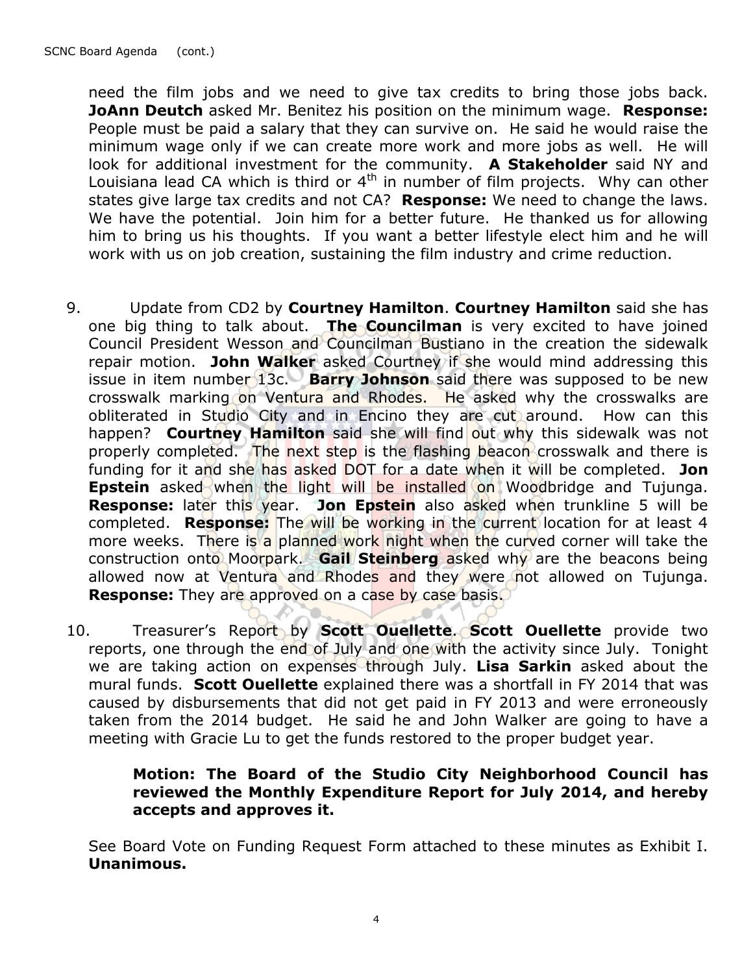need the film jobs and we need to give tax credits to bring those jobs back. **JoAnn Deutch** asked Mr. Benitez his position on the minimum wage. **Response:**  People must be paid a salary that they can survive on. He said he would raise the minimum wage only if we can create more work and more jobs as well. He will look for additional investment for the community. **A Stakeholder** said NY and Louisiana lead CA which is third or 4th in number of film projects.Why can other states give large tax credits and not CA? **Response:** We need to change the laws. We have the potential. Join him for a better future. He thanked us for allowing him to bring us his thoughts. If you want a better lifestyle elect him and he will work with us on job creation, sustaining the film industry and crime reduction.

- 9. Update from CD2 by **Courtney Hamilton**. **Courtney Hamilton** said she has one big thing to talk about. **The Councilman** is very excited to have joined Council President Wesson and Councilman Bustiano in the creation the sidewalk repair motion. **John Walker** asked Courtney if she would mind addressing this issue in item number 13c. **Barry Johnson** said there was supposed to be new crosswalk marking on Ventura and Rhodes. He asked why the crosswalks are obliterated in Studio City and in Encino they are cut around. How can this happen? **Courtney Hamilton** said she will find out why this sidewalk was not properly completed. The next step is the flashing beacon crosswalk and there is funding for it and she has asked DOT for a date when it will be completed. **Jon Epstein** asked when the light will be installed on Woodbridge and Tujunga. **Response:** later this year. Jon Epstein also asked when trunkline 5 will be completed. **Response:** The will be working in the current location for at least 4 more weeks. There is a planned work night when the curved corner will take the construction onto Moorpark. **Gail Steinberg** asked why are the beacons being allowed now at Ventura and Rhodes and they were not allowed on Tujunga. **Response:** They are approved on a case by case basis.
- 10. Treasurer's Report by **Scott Ouellette**. **Scott Ouellette** provide two reports, one through the end of July and one with the activity since July. Tonight we are taking action on expenses through July. **Lisa Sarkin** asked about the mural funds. **Scott Ouellette** explained there was a shortfall in FY 2014 that was caused by disbursements that did not get paid in FY 2013 and were erroneously taken from the 2014 budget.He said he and John Walker are going to have a meeting with Gracie Lu to get the funds restored to the proper budget year.

# **Motion: The Board of the Studio City Neighborhood Council has reviewed the Monthly Expenditure Report for July 2014, and hereby accepts and approves it.**

See Board Vote on Funding Request Form attached to these minutes as Exhibit I. **Unanimous.**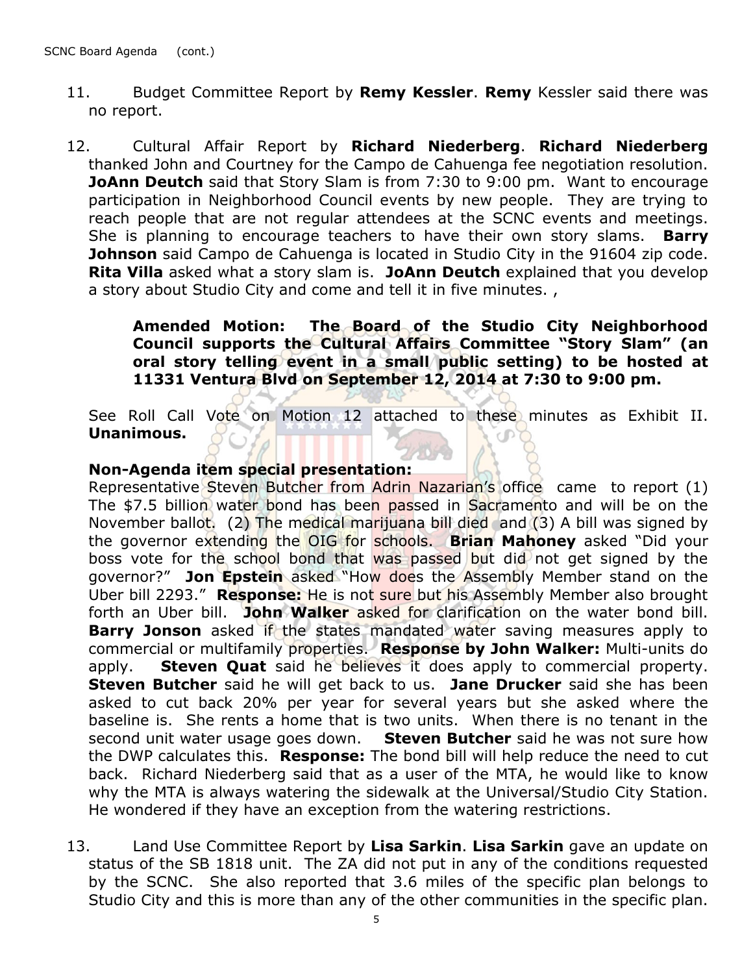- 11. Budget Committee Report by **Remy Kessler**. **Remy** Kessler said there was no report.
- 12. Cultural Affair Report by **Richard Niederberg**. **Richard Niederberg**  thanked John and Courtney for the Campo de Cahuenga fee negotiation resolution. **JoAnn Deutch** said that Story Slam is from 7:30 to 9:00 pm. Want to encourage participation in Neighborhood Council events by new people. They are trying to reach people that are not regular attendees at the SCNC events and meetings. She is planning to encourage teachers to have their own story slams. **Barry Johnson** said Campo de Cahuenga is located in Studio City in the 91604 zip code. **Rita Villa** asked what a story slam is. **JoAnn Deutch** explained that you develop a story about Studio City and come and tell it in five minutes. ,

**Amended Motion: The Board of the Studio City Neighborhood Council supports the Cultural Affairs Committee "Story Slam" (an oral story telling event in a small public setting) to be hosted at 11331 Ventura Blvd on September 12, 2014 at 7:30 to 9:00 pm.** 

See Roll Call Vote on Motion 12 attached to these minutes as Exhibit II. **Unanimous.**

#### **Non-Agenda item special presentation:**

Representative Steven Butcher from Adrin Nazarian's office came to report (1) The \$7.5 billion water bond has been passed in Sacramento and will be on the November ballot. (2) The medical marijuana bill died and (3) A bill was signed by the governor extending the OIG for schools. **Brian Mahoney** asked "Did your boss vote for the school bond that was passed but did not get signed by the governor?" **Jon Epstein** asked "How does the Assembly Member stand on the Uber bill 2293." **Response:** He is not sure but his Assembly Member also brought forth an Uber bill. **John Walker** asked for clarification on the water bond bill. **Barry Jonson** asked if the states mandated water saving measures apply to commercial or multifamily properties. **Response by John Walker:** Multi-units do apply. **Steven Quat** said he believes it does apply to commercial property. **Steven Butcher** said he will get back to us. **Jane Drucker** said she has been asked to cut back 20% per year for several years but she asked where the baseline is. She rents a home that is two units. When there is no tenant in the second unit water usage goes down. **Steven Butcher** said he was not sure how the DWP calculates this. **Response:** The bond bill will help reduce the need to cut back. Richard Niederberg said that as a user of the MTA, he would like to know why the MTA is always watering the sidewalk at the Universal/Studio City Station. He wondered if they have an exception from the watering restrictions.

13. Land Use Committee Report by **Lisa Sarkin**. **Lisa Sarkin** gave an update on status of the SB 1818 unit. The ZA did not put in any of the conditions requested by the SCNC. She also reported that 3.6 miles of the specific plan belongs to Studio City and this is more than any of the other communities in the specific plan.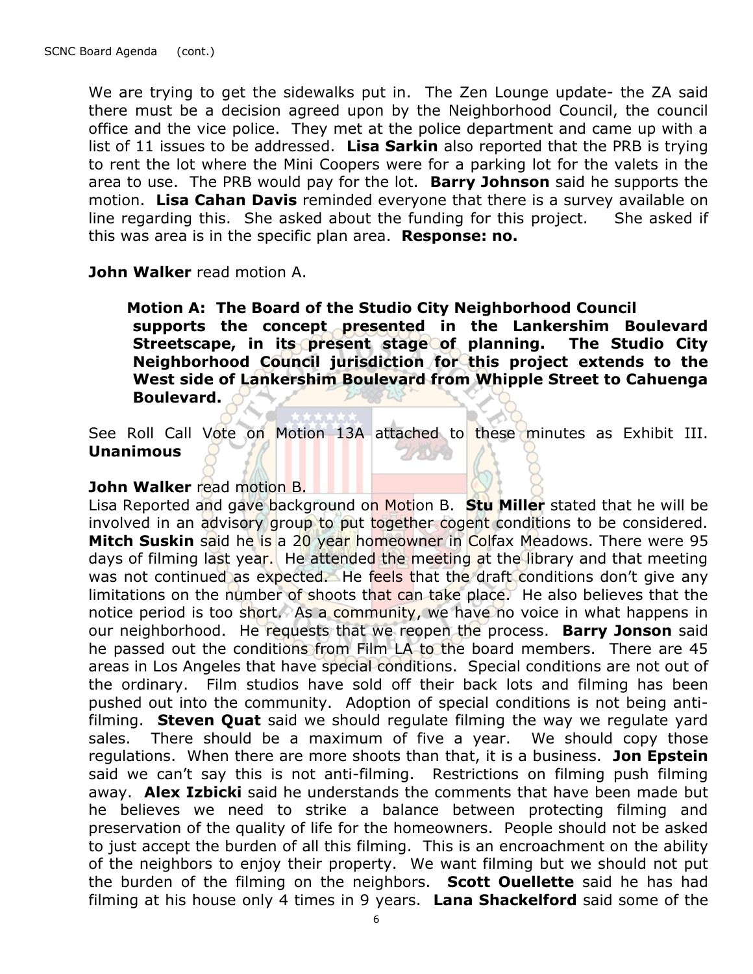We are trying to get the sidewalks put in. The Zen Lounge update- the ZA said there must be a decision agreed upon by the Neighborhood Council, the council office and the vice police. They met at the police department and came up with a list of 11 issues to be addressed. **Lisa Sarkin** also reported that the PRB is trying to rent the lot where the Mini Coopers were for a parking lot for the valets in the area to use. The PRB would pay for the lot. **Barry Johnson** said he supports the motion. **Lisa Cahan Davis** reminded everyone that there is a survey available on line regarding this. She asked about the funding for this project. She asked if this was area is in the specific plan area. **Response: no.**

#### **John Walker** read motion A.

 **Motion A: The Board of the Studio City Neighborhood Council supports the concept presented in the Lankershim Boulevard Streetscape, in its present stage of planning. The Studio City Neighborhood Council jurisdiction for this project extends to the West side of Lankershim Boulevard from Whipple Street to Cahuenga Boulevard.**

See Roll Call Vote on Motion 13A attached to these minutes as Exhibit III. **Unanimous** 27079

### **John Walker** read motion B.

Lisa Reported and gave background on Motion B. **Stu Miller** stated that he will be involved in an advisory group to put together cogent conditions to be considered. **Mitch Suskin** said he is a 20 year homeowner in Colfax Meadows. There were 95 days of filming last year. He attended the meeting at the library and that meeting was not continued as expected. He feels that the draft conditions don't give any limitations on the number of shoots that can take place. He also believes that the notice period is too short. As a community, we have no voice in what happens in our neighborhood. He requests that we reopen the process. **Barry Jonson** said he passed out the conditions from Film LA to the board members. There are 45 areas in Los Angeles that have special conditions. Special conditions are not out of the ordinary. Film studios have sold off their back lots and filming has been pushed out into the community. Adoption of special conditions is not being antifilming. **Steven Quat** said we should regulate filming the way we regulate yard sales. There should be a maximum of five a year. We should copy those regulations. When there are more shoots than that, it is a business. **Jon Epstein** said we can't say this is not anti-filming. Restrictions on filming push filming away. **Alex Izbicki** said he understands the comments that have been made but he believes we need to strike a balance between protecting filming and preservation of the quality of life for the homeowners. People should not be asked to just accept the burden of all this filming. This is an encroachment on the ability of the neighbors to enjoy their property. We want filming but we should not put the burden of the filming on the neighbors. **Scott Ouellette** said he has had filming at his house only 4 times in 9 years. **Lana Shackelford** said some of the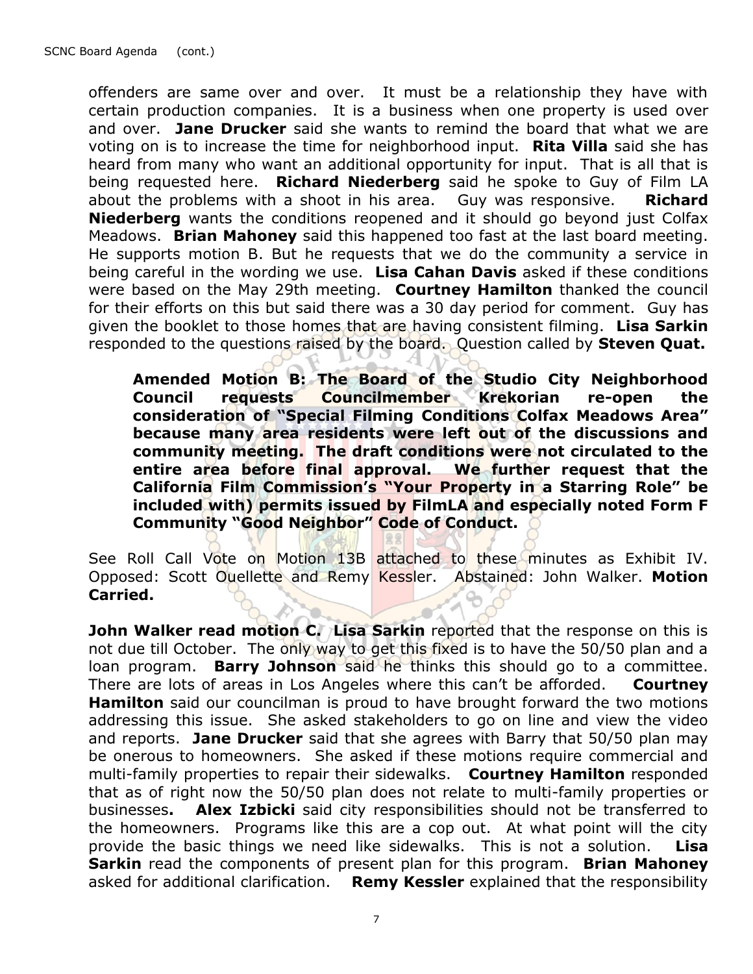offenders are same over and over. It must be a relationship they have with certain production companies. It is a business when one property is used over and over. **Jane Drucker** said she wants to remind the board that what we are voting on is to increase the time for neighborhood input. **Rita Villa** said she has heard from many who want an additional opportunity for input. That is all that is being requested here. **Richard Niederberg** said he spoke to Guy of Film LA about the problems with a shoot in his area. Guy was responsive. **Richard Niederberg** wants the conditions reopened and it should go beyond just Colfax Meadows. **Brian Mahoney** said this happened too fast at the last board meeting. He supports motion B. But he requests that we do the community a service in being careful in the wording we use. **Lisa Cahan Davis** asked if these conditions were based on the May 29th meeting. **Courtney Hamilton** thanked the council for their efforts on this but said there was a 30 day period for comment. Guy has given the booklet to those homes that are having consistent filming. **Lisa Sarkin** responded to the questions raised by the board. Question called by **Steven Quat.**

**Amended Motion B: The Board of the Studio City Neighborhood Council requests Councilmember Krekorian re-open the consideration of "Special Filming Conditions Colfax Meadows Area" because many area residents were left out of the discussions and community meeting. The draft conditions were not circulated to the entire area before final approval. We further request that the California Film Commission's "Your Property in a Starring Role" be included with) permits issued by FilmLA and especially noted Form F Community "Good Neighbor" Code of Conduct.**

See Roll Call Vote on Motion 13B attached to these minutes as Exhibit IV. Opposed: Scott Ouellette and Remy Kessler. Abstained: John Walker. **Motion Carried.**  $\mathcal{L}_{\lambda}$ 

**John Walker read motion C. Lisa Sarkin** reported that the response on this is not due till October. The only way to get this fixed is to have the 50/50 plan and a loan program. **Barry Johnson** said he thinks this should go to a committee. There are lots of areas in Los Angeles where this can't be afforded. **Courtney Hamilton** said our councilman is proud to have brought forward the two motions addressing this issue. She asked stakeholders to go on line and view the video and reports. **Jane Drucker** said that she agrees with Barry that 50/50 plan may be onerous to homeowners. She asked if these motions require commercial and multi-family properties to repair their sidewalks. **Courtney Hamilton** responded that as of right now the 50/50 plan does not relate to multi-family properties or businesses**. Alex Izbicki** said city responsibilities should not be transferred to the homeowners. Programs like this are a cop out. At what point will the city provide the basic things we need like sidewalks. This is not a solution. **Lisa Sarkin** read the components of present plan for this program. **Brian Mahoney**  asked for additional clarification. **Remy Kessler** explained that the responsibility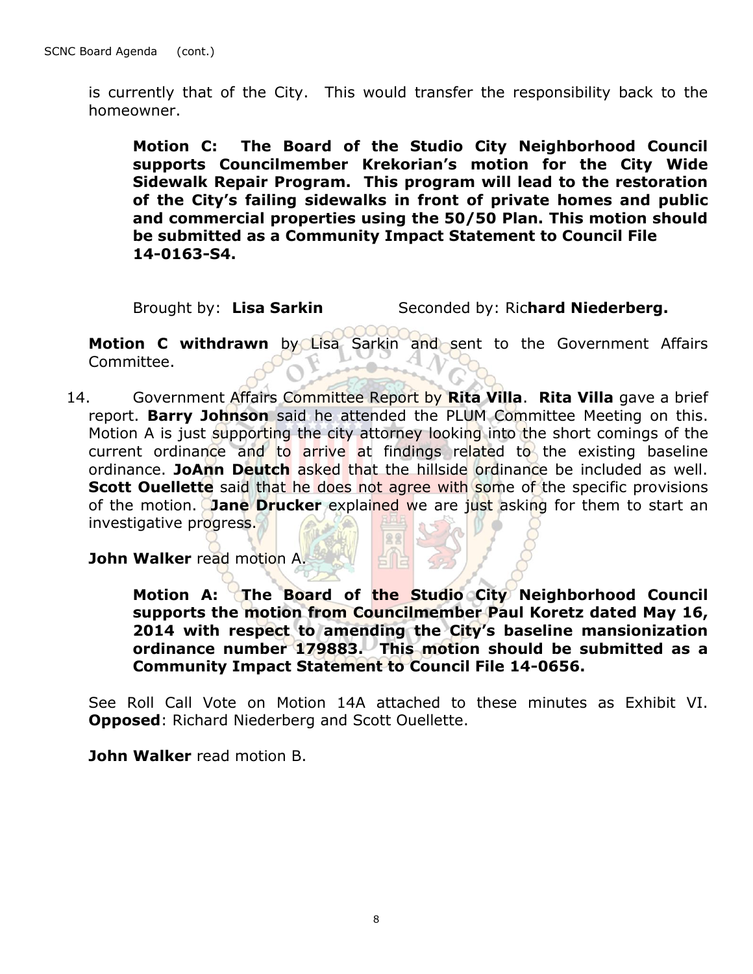is currently that of the City. This would transfer the responsibility back to the homeowner.

**Motion C: The Board of the Studio City Neighborhood Council supports Councilmember Krekorian's motion for the City Wide Sidewalk Repair Program. This program will lead to the restoration of the City's failing sidewalks in front of private homes and public and commercial properties using the 50/50 Plan. This motion should be submitted as a Community Impact Statement to Council File 14-0163-S4.**

Brought by: Lisa Sarkin Seconded by: Richard Niederberg.

**Motion C withdrawn** by Lisa Sarkin and sent to the Government Affairs Committee.

14. Government Affairs Committee Report by **Rita Villa**. **Rita Villa** gave a brief report. **Barry Johnson** said he attended the PLUM Committee Meeting on this. Motion A is just supporting the city attorney looking into the short comings of the current ordinance and to arrive at findings related to the existing baseline ordinance. **JoAnn Deutch** asked that the hillside ordinance be included as well. **Scott Quellette** said that he does not agree with some of the specific provisions of the motion. **Jane Drucker** explained we are just asking for them to start an investigative progress.

**John Walker** read motion A.

**Motion A: The Board of the Studio City Neighborhood Council supports the motion from Councilmember Paul Koretz dated May 16, 2014 with respect to amending the City's baseline mansionization ordinance number 179883. This motion should be submitted as a Community Impact Statement to Council File 14-0656.**

See Roll Call Vote on Motion 14A attached to these minutes as Exhibit VI. **Opposed**: Richard Niederberg and Scott Ouellette.

**John Walker** read motion B.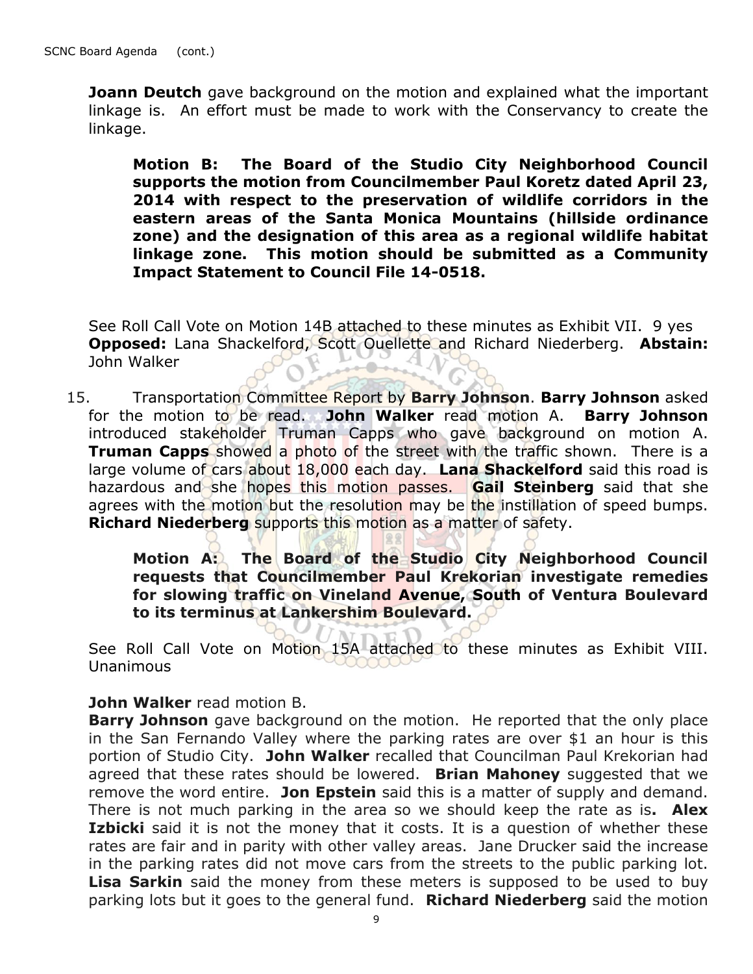**Joann Deutch** gave background on the motion and explained what the important linkage is. An effort must be made to work with the Conservancy to create the linkage.

**Motion B: The Board of the Studio City Neighborhood Council supports the motion from Councilmember Paul Koretz dated April 23, 2014 with respect to the preservation of wildlife corridors in the eastern areas of the Santa Monica Mountains (hillside ordinance zone) and the designation of this area as a regional wildlife habitat linkage zone. This motion should be submitted as a Community Impact Statement to Council File 14-0518.**

See Roll Call Vote on Motion 14B attached to these minutes as Exhibit VII. 9 yes **Opposed:** Lana Shackelford, Scott Ouellette and Richard Niederberg. **Abstain:** John Walker

15. Transportation Committee Report by **Barry Johnson**. **Barry Johnson** asked for the motion to be read. **John Walker** read motion A. **Barry Johnson**  introduced stakeholder Truman Capps who gave background on motion A. **Truman Capps** showed a photo of the street with the traffic shown. There is a large volume of cars about 18,000 each day. **Lana Shackelford** said this road is hazardous and she hopes this motion passes. **Gail Steinberg** said that she agrees with the motion but the resolution may be the instillation of speed bumps. **Richard Niederberg** supports this motion as a matter of safety.

**Motion A: The Board of the Studio City Neighborhood Council requests that Councilmember Paul Krekorian investigate remedies for slowing traffic on Vineland Avenue, South of Ventura Boulevard to its terminus at Lankershim Boulevard.**

See Roll Call Vote on Motion 15A attached to these minutes as Exhibit VIII. Unanimous

#### **John Walker** read motion B.

**Barry Johnson** gave background on the motion. He reported that the only place in the San Fernando Valley where the parking rates are over \$1 an hour is this portion of Studio City. **John Walker** recalled that Councilman Paul Krekorian had agreed that these rates should be lowered. **Brian Mahoney** suggested that we remove the word entire. **Jon Epstein** said this is a matter of supply and demand. There is not much parking in the area so we should keep the rate as is**. Alex Izbicki** said it is not the money that it costs. It is a question of whether these rates are fair and in parity with other valley areas. Jane Drucker said the increase in the parking rates did not move cars from the streets to the public parking lot. **Lisa Sarkin** said the money from these meters is supposed to be used to buy parking lots but it goes to the general fund. **Richard Niederberg** said the motion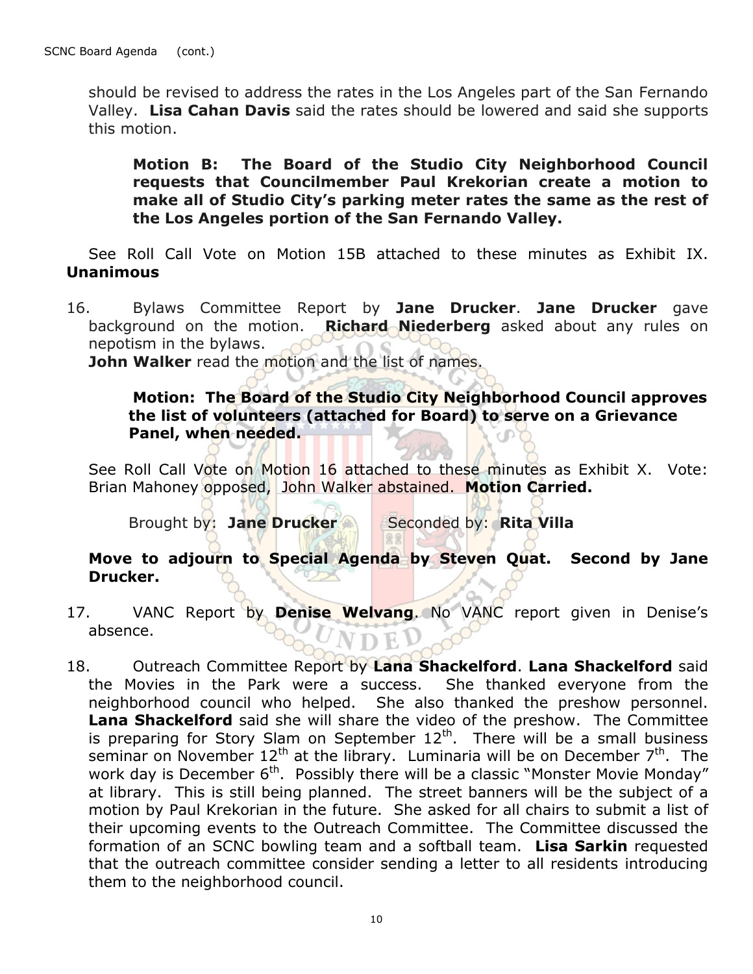should be revised to address the rates in the Los Angeles part of the San Fernando Valley. **Lisa Cahan Davis** said the rates should be lowered and said she supports this motion.

**Motion B: The Board of the Studio City Neighborhood Council requests that Councilmember Paul Krekorian create a motion to make all of Studio City's parking meter rates the same as the rest of the Los Angeles portion of the San Fernando Valley.**

See Roll Call Vote on Motion 15B attached to these minutes as Exhibit IX. **Unanimous**

16. Bylaws Committee Report by **Jane Drucker**. **Jane Drucker** gave background on the motion. **Richard Niederberg** asked about any rules on nepotism in the bylaws.

**John Walker** read the motion and the list of names.

**Motion: The Board of the Studio City Neighborhood Council approves the list of volunteers (attached for Board) to serve on a Grievance Panel, when needed.**

See Roll Call Vote on Motion 16 attached to these minutes as Exhibit X. Vote: Brian Mahoney opposed, John Walker abstained. **Motion Carried.**

**Brought by: Jane Drucker Seconded by: Rita Villa** 

## **Move to adjourn to Special Agenda by Steven Quat. Second by Jane Drucker.**

- 17. VANC Report by **Denise Welvang**. No VANC report given in Denise's absence. VDEI
- 18. Outreach Committee Report by **Lana Shackelford**. **Lana Shackelford** said the Movies in the Park were a success. She thanked everyone from the neighborhood council who helped. She also thanked the preshow personnel. **Lana Shackelford** said she will share the video of the preshow.The Committee is preparing for Story Slam on September  $12<sup>th</sup>$ . There will be a small business seminar on November  $12<sup>th</sup>$  at the library. Luminaria will be on December  $7<sup>th</sup>$ . The work day is December 6<sup>th</sup>. Possibly there will be a classic "Monster Movie Monday" at library. This is still being planned. The street banners will be the subject of a motion by Paul Krekorian in the future.She asked for all chairs to submit a list of their upcoming events to the Outreach Committee.The Committee discussed the formation of an SCNC bowling team and a softball team. **Lisa Sarkin** requested that the outreach committee consider sending a letter to all residents introducing them to the neighborhood council.